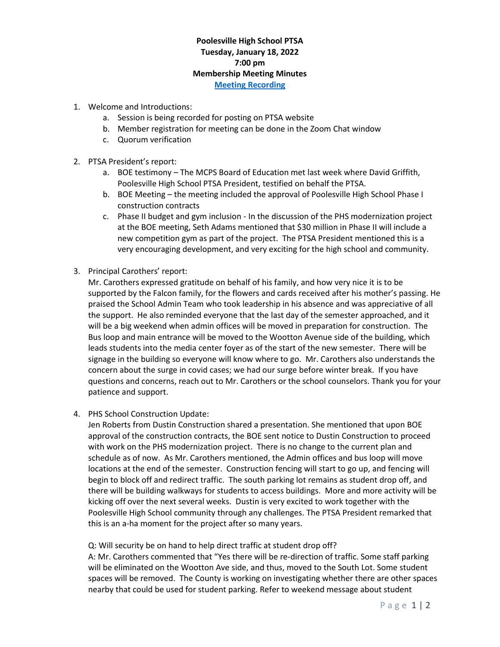## **Poolesville High School PTSA Tuesday, January 18, 2022 7:00 pm Membership Meeting Minutes [Meeting Recording](https://www.poolesvillehighschoolptsa.org/ptsa-minutes)**

- 1. Welcome and Introductions:
	- a. Session is being recorded for posting on PTSA website
	- b. Member registration for meeting can be done in the Zoom Chat window
	- c. Quorum verification
- 2. PTSA President's report:
	- a. BOE testimony The MCPS Board of Education met last week where David Griffith, Poolesville High School PTSA President, testified on behalf the PTSA.
	- b. BOE Meeting the meeting included the approval of Poolesville High School Phase I construction contracts
	- c. Phase II budget and gym inclusion In the discussion of the PHS modernization project at the BOE meeting, Seth Adams mentioned that \$30 million in Phase II will include a new competition gym as part of the project. The PTSA President mentioned this is a very encouraging development, and very exciting for the high school and community.
- 3. Principal Carothers' report:

Mr. Carothers expressed gratitude on behalf of his family, and how very nice it is to be supported by the Falcon family, for the flowers and cards received after his mother's passing. He praised the School Admin Team who took leadership in his absence and was appreciative of all the support. He also reminded everyone that the last day of the semester approached, and it will be a big weekend when admin offices will be moved in preparation for construction. The Bus loop and main entrance will be moved to the Wootton Avenue side of the building, which leads students into the media center foyer as of the start of the new semester. There will be signage in the building so everyone will know where to go. Mr. Carothers also understands the concern about the surge in covid cases; we had our surge before winter break. If you have questions and concerns, reach out to Mr. Carothers or the school counselors. Thank you for your patience and support.

4. PHS School Construction Update:

Jen Roberts from Dustin Construction shared a presentation. She mentioned that upon BOE approval of the construction contracts, the BOE sent notice to Dustin Construction to proceed with work on the PHS modernization project. There is no change to the current plan and schedule as of now. As Mr. Carothers mentioned, the Admin offices and bus loop will move locations at the end of the semester. Construction fencing will start to go up, and fencing will begin to block off and redirect traffic. The south parking lot remains as student drop off, and there will be building walkways for students to access buildings. More and more activity will be kicking off over the next several weeks. Dustin is very excited to work together with the Poolesville High School community through any challenges. The PTSA President remarked that this is an a-ha moment for the project after so many years.

## Q: Will security be on hand to help direct traffic at student drop off?

A: Mr. Carothers commented that "Yes there will be re-direction of traffic. Some staff parking will be eliminated on the Wootton Ave side, and thus, moved to the South Lot. Some student spaces will be removed. The County is working on investigating whether there are other spaces nearby that could be used for student parking. Refer to weekend message about student